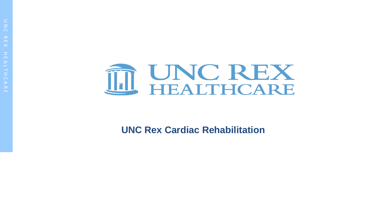

**UNC Rex Cardiac Rehabilitation**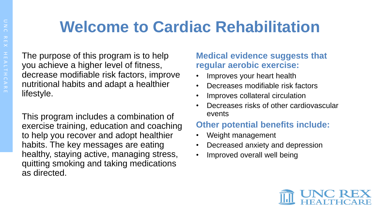## **Welcome to Cardiac Rehabilitation**

The purpose of this program is to help you achieve a higher level of fitness, decrease modifiable risk factors, improve nutritional habits and adapt a healthier lifestyle.

This program includes a combination of exercise training, education and coaching to help you recover and adopt healthier habits. The key messages are eating healthy, staying active, managing stress, quitting smoking and taking medications as directed.

## **Medical evidence suggests that regular aerobic exercise:**

- Improves your heart health
- Decreases modifiable risk factors
- Improves collateral circulation
- Decreases risks of other cardiovascular events

## **Other potential benefits include:**

- Weight management
- Decreased anxiety and depression
- Improved overall well being

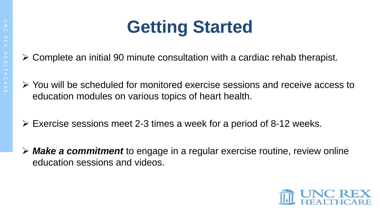

- Complete an initial 90 minute consultation with a cardiac rehab therapist.
- You will be scheduled for monitored exercise sessions and receive access to education modules on various topics of heart health.
- $\triangleright$  Exercise sessions meet 2-3 times a week for a period of 8-12 weeks.
- *Make a commitment* to engage in a regular exercise routine, review online education sessions and videos.